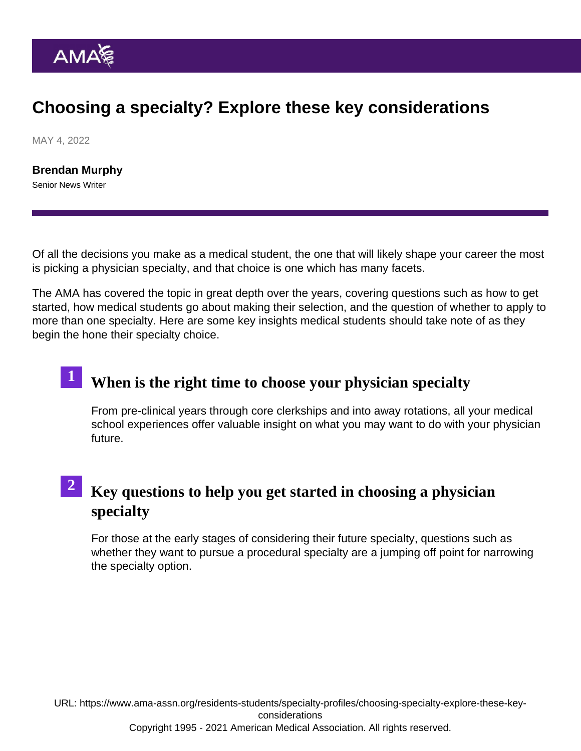### Choosing a specialty? Explore these key considerations

MAY 4, 2022

[Brendan Murphy](https://www.ama-assn.org/news-leadership-viewpoints/authors-news-leadership-viewpoints/brendan-murphy) Senior News Writer

Of all the decisions you make as a medical student, the one that will likely shape your career the most is [picking a physician specialty,](https://www.ama-assn.org/residents-students/career-planning-resource/choosing-medical-specialty) and that choice is one which has many facets.

The AMA has covered the topic in great depth over the years, covering questions such as how to get started, how medical students go about making their selection, and the question of whether to apply to more than one specialty. Here are some key insights medical students should take note of as they begin the hone their specialty choice.

# 1 [When is the right time to choose your physician special](https://www.ama-assn.org/residents-students/specialty-profiles/whens-right-time-choose-medical-specialty)ty

From pre-clinical years through core clerkships and into away rotations, all your medical school experiences offer valuable insight on what you may want to do with your physician future.

### <sup>2</sup> [Key questions to help you get started in choosing a physici](https://www.ama-assn.org/residents-students/specialty-profiles/choosing-medical-specialty-4-questions-help-get-you-started)an [specialty](https://www.ama-assn.org/residents-students/specialty-profiles/choosing-medical-specialty-4-questions-help-get-you-started)

For those at the early stages of considering their future specialty, questions such as whether they want to pursue a procedural specialty are a jumping off point for narrowing the specialty option.

URL: [https://www.ama-assn.org/residents-students/specialty-profiles/choosing-specialty-explore-these-key](https://www.ama-assn.org/residents-students/specialty-profiles/choosing-specialty-explore-these-key-considerations)[considerations](https://www.ama-assn.org/residents-students/specialty-profiles/choosing-specialty-explore-these-key-considerations)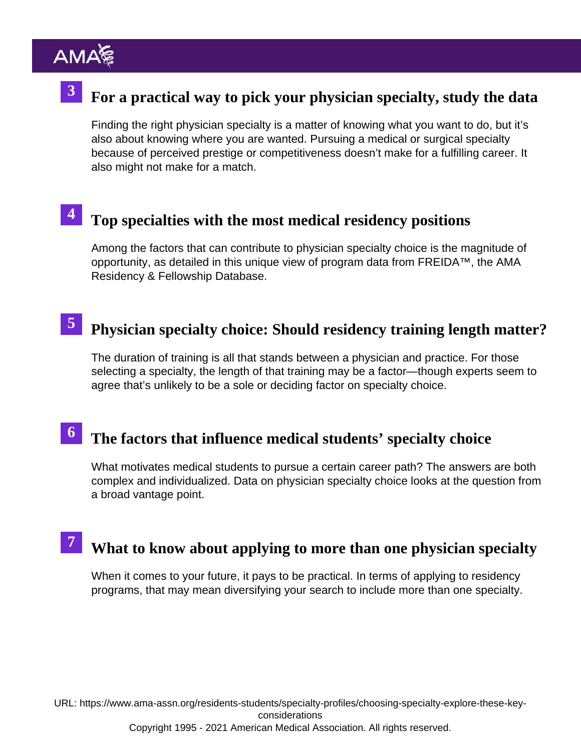# <sup>3</sup> [For a practical way to pick your physician specialty, study the dat](https://www.ama-assn.org/residents-students/specialty-profiles/practical-way-pick-your-physician-specialty-study-data)a

Finding the right physician specialty is a matter of knowing what you want to do, but it's also about knowing where you are wanted. Pursuing a medical or surgical specialty because of perceived prestige or competitiveness doesn't make for a fulfilling career. It also might not make for a match.

#### [Top specialties with the most medical residency positio](https://www.ama-assn.org/residents-students/specialty-profiles/top-10-specialties-most-medical-residency-positions)ns 4

Among the factors that can contribute to physician specialty choice is the magnitude of opportunity, as detailed in this unique view of program data from [FREIDA™, the AMA](https://freida.ama-assn.org/) [Residency & Fellowship Database](https://freida.ama-assn.org/).

#### [Physician specialty choice: Should residency training length matte](https://www.ama-assn.org/residents-students/specialty-profiles/medical-specialty-choice-should-residency-training-length)r? 5

The duration of training is all that stands between a physician and practice. For those selecting a specialty, the length of that training may be a factor—though experts seem to agree that's unlikely to be a sole or deciding factor on specialty choice.

## 6 [The factors that influence medical students' specialty choic](https://www.ama-assn.org/residents-students/specialty-profiles/11-factors-influence-med-student-specialty-choice)e

What motivates medical students to pursue a certain career path? The answers are both complex and individualized. Data on physician specialty choice looks at the question from a broad vantage point.

#### [What to know about applying to more than one physician special](https://www.ama-assn.org/residents-students/specialty-profiles/applying-more-1-medical-specialty-what-you-should-know)ty 7

When it comes to your future, it pays to be practical. In terms of applying to residency programs, that may mean diversifying your search to include more than one specialty.

URL: [https://www.ama-assn.org/residents-students/specialty-profiles/choosing-specialty-explore-these-key](https://www.ama-assn.org/residents-students/specialty-profiles/choosing-specialty-explore-these-key-considerations)[considerations](https://www.ama-assn.org/residents-students/specialty-profiles/choosing-specialty-explore-these-key-considerations) Copyright 1995 - 2021 American Medical Association. All rights reserved.